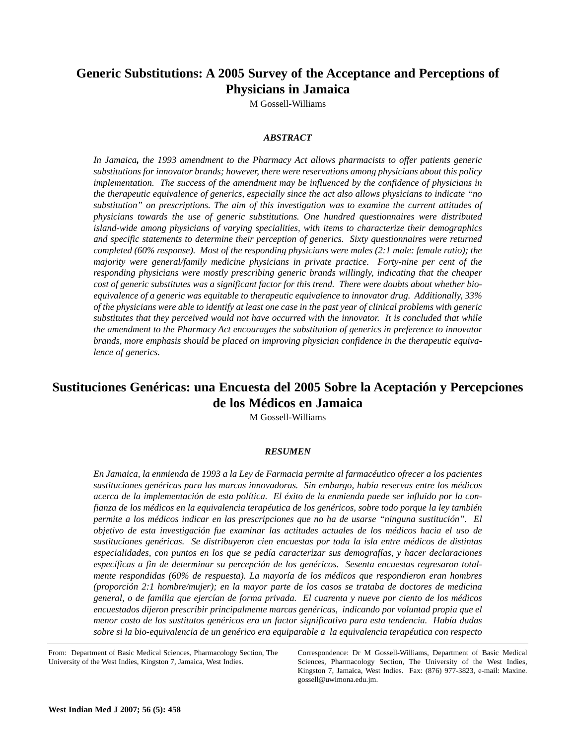# **Generic Substitutions: A 2005 Survey of the Acceptance and Perceptions of Physicians in Jamaica**

M Gossell-Williams

## *ABSTRACT*

*In Jamaica, the 1993 amendment to the Pharmacy Act allows pharmacists to offer patients generic substitutions for innovator brands; however, there were reservations among physicians about this policy implementation. The success of the amendment may be influenced by the confidence of physicians in the therapeutic equivalence of generics, especially since the act also allows physicians to indicate "no substitution" on prescriptions. The aim of this investigation was to examine the current attitudes of physicians towards the use of generic substitutions. One hundred questionnaires were distributed island-wide among physicians of varying specialities, with items to characterize their demographics and specific statements to determine their perception of generics. Sixty questionnaires were returned completed (60% response). Most of the responding physicians were males (2:1 male: female ratio); the majority were general/family medicine physicians in private practice. Forty-nine per cent of the responding physicians were mostly prescribing generic brands willingly, indicating that the cheaper cost of generic substitutes was a significant factor for this trend. There were doubts about whether bioequivalence of a generic was equitable to therapeutic equivalence to innovator drug. Additionally, 33% of the physicians were able to identify at least one case in the past year of clinical problems with generic substitutes that they perceived would not have occurred with the innovator. It is concluded that while the amendment to the Pharmacy Act encourages the substitution of generics in preference to innovator brands, more emphasis should be placed on improving physician confidence in the therapeutic equivalence of generics.* 

# **Sustituciones Genéricas: una Encuesta del 2005 Sobre la Aceptación y Percepciones de los Médicos en Jamaica**

M Gossell-Williams

#### *RESUMEN*

*En Jamaica, la enmienda de 1993 a la Ley de Farmacia permite al farmacéutico ofrecer a los pacientes sustituciones genéricas para las marcas innovadoras. Sin embargo, había reservas entre los médicos acerca de la implementación de esta política. El éxito de la enmienda puede ser influido por la confianza de los médicos en la equivalencia terapéutica de los genéricos, sobre todo porque la ley también permite a los médicos indicar en las prescripciones que no ha de usarse "ninguna sustitución". El objetivo de esta investigación fue examinar las actitudes actuales de los médicos hacia el uso de sustituciones genéricas. Se distribuyeron cien encuestas por toda la isla entre médicos de distintas especialidades, con puntos en los que se pedía caracterizar sus demografías, y hacer declaraciones específicas a fin de determinar su percepción de los genéricos. Sesenta encuestas regresaron totalmente respondidas (60% de respuesta). La mayoría de los médicos que respondieron eran hombres (proporción 2:1 hombre/mujer); en la mayor parte de los casos se trataba de doctores de medicina general, o de familia que ejercían de forma privada. El cuarenta y nueve por ciento de los médicos encuestados dijeron prescribir principalmente marcas genéricas, indicando por voluntad propia que el menor costo de los sustitutos genéricos era un factor significativo para esta tendencia. Había dudas sobre si la bio-equivalencia de un genérico era equiparable a la equivalencia terapéutica con respecto*

From: Department of Basic Medical Sciences, Pharmacology Section, The University of the West Indies, Kingston 7, Jamaica, West Indies.

Correspondence: Dr M Gossell-Williams, Department of Basic Medical Sciences, Pharmacology Section, The University of the West Indies, Kingston 7, Jamaica, West Indies. Fax: (876) 977-3823, e-mail: Maxine. gossell@uwimona.edu.jm.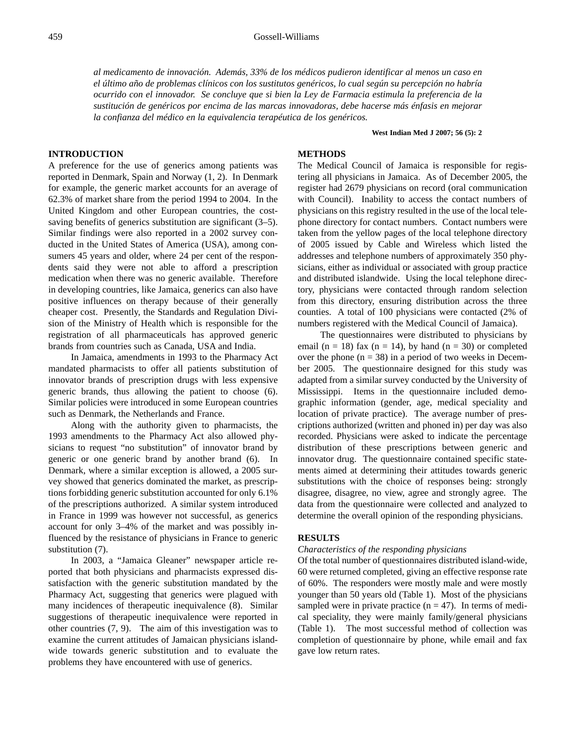*al medicamento de innovación. Además, 33% de los médicos pudieron identificar al menos un caso en el último año de problemas clínicos con los sustitutos genéricos, lo cual según su percepción no habría ocurrido con el innovador. Se concluye que si bien la Ley de Farmacia estimula la preferencia de la sustitución de genéricos por encima de las marcas innovadoras, debe hacerse más énfasis en mejorar la confianza del médico en la equivalencia terapéutica de los genéricos.*

**West Indian Med J 2007; 56 (5): 2**

## **INTRODUCTION**

A preference for the use of generics among patients was reported in Denmark, Spain and Norway (1, 2). In Denmark for example, the generic market accounts for an average of 62.3% of market share from the period 1994 to 2004. In the United Kingdom and other European countries, the costsaving benefits of generics substitution are significant (3–5). Similar findings were also reported in a 2002 survey conducted in the United States of America (USA), among consumers 45 years and older, where 24 per cent of the respondents said they were not able to afford a prescription medication when there was no generic available. Therefore in developing countries, like Jamaica, generics can also have positive influences on therapy because of their generally cheaper cost. Presently, the Standards and Regulation Division of the Ministry of Health which is responsible for the registration of all pharmaceuticals has approved generic brands from countries such as Canada, USA and India.

In Jamaica, amendments in 1993 to the Pharmacy Act mandated pharmacists to offer all patients substitution of innovator brands of prescription drugs with less expensive generic brands, thus allowing the patient to choose (6). Similar policies were introduced in some European countries such as Denmark, the Netherlands and France.

Along with the authority given to pharmacists, the 1993 amendments to the Pharmacy Act also allowed physicians to request "no substitution" of innovator brand by generic or one generic brand by another brand (6). In Denmark, where a similar exception is allowed, a 2005 survey showed that generics dominated the market, as prescriptions forbidding generic substitution accounted for only 6.1% of the prescriptions authorized. A similar system introduced in France in 1999 was however not successful, as generics account for only 3–4% of the market and was possibly influenced by the resistance of physicians in France to generic substitution (7).

In 2003, a "Jamaica Gleaner" newspaper article reported that both physicians and pharmacists expressed dissatisfaction with the generic substitution mandated by the Pharmacy Act, suggesting that generics were plagued with many incidences of therapeutic inequivalence (8). Similar suggestions of therapeutic inequivalence were reported in other countries (7, 9). The aim of this investigation was to examine the current attitudes of Jamaican physicians islandwide towards generic substitution and to evaluate the problems they have encountered with use of generics.

## **METHODS**

The Medical Council of Jamaica is responsible for registering all physicians in Jamaica. As of December 2005, the register had 2679 physicians on record (oral communication with Council). Inability to access the contact numbers of physicians on this registry resulted in the use of the local telephone directory for contact numbers. Contact numbers were taken from the yellow pages of the local telephone directory of 2005 issued by Cable and Wireless which listed the addresses and telephone numbers of approximately 350 physicians, either as individual or associated with group practice and distributed islandwide. Using the local telephone directory, physicians were contacted through random selection from this directory, ensuring distribution across the three counties. A total of 100 physicians were contacted (2% of numbers registered with the Medical Council of Jamaica).

The questionnaires were distributed to physicians by email ( $n = 18$ ) fax ( $n = 14$ ), by hand ( $n = 30$ ) or completed over the phone  $(n = 38)$  in a period of two weeks in December 2005. The questionnaire designed for this study was adapted from a similar survey conducted by the University of Mississippi. Items in the questionnaire included demographic information (gender, age, medical speciality and location of private practice). The average number of prescriptions authorized (written and phoned in) per day was also recorded. Physicians were asked to indicate the percentage distribution of these prescriptions between generic and innovator drug. The questionnaire contained specific statements aimed at determining their attitudes towards generic substitutions with the choice of responses being: strongly disagree, disagree, no view, agree and strongly agree. The data from the questionnaire were collected and analyzed to determine the overall opinion of the responding physicians.

## **RESULTS**

## *Characteristics of the responding physicians*

Of the total number of questionnaires distributed island-wide, 60 were returned completed, giving an effective response rate of 60%. The responders were mostly male and were mostly younger than 50 years old (Table 1). Most of the physicians sampled were in private practice  $(n = 47)$ . In terms of medical speciality, they were mainly family/general physicians (Table 1). The most successful method of collection was completion of questionnaire by phone, while email and fax gave low return rates.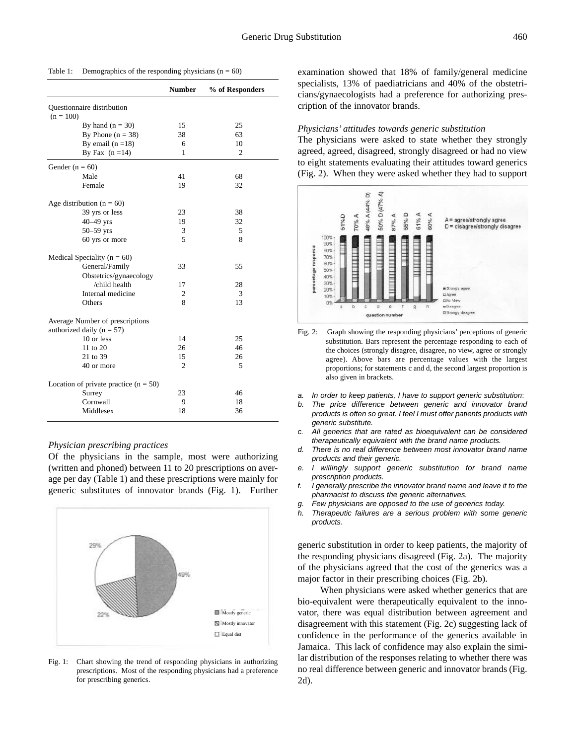|                                         | <b>Number</b>  | % of Responders |
|-----------------------------------------|----------------|-----------------|
| Questionnaire distribution              |                |                 |
| $(n = 100)$                             |                |                 |
| By hand $(n = 30)$                      | 15             | 25              |
| By Phone $(n = 38)$                     | 38             | 63              |
| By email $(n = 18)$                     | 6              | 10              |
| By Fax $(n=14)$                         | 1              | $\overline{c}$  |
| Gender $(n = 60)$                       |                |                 |
| Male                                    | 41             | 68              |
| Female                                  | 19             | 32              |
| Age distribution ( $n = 60$ )           |                |                 |
| 39 yrs or less                          | 23             | 38              |
| 40-49 yrs                               | 19             | 32              |
| $50 - 59$ yrs                           | 3              | 5               |
| 60 yrs or more                          | 5              | 8               |
| Medical Speciality ( $n = 60$ )         |                |                 |
| General/Family                          | 33             | 55              |
| Obstetrics/gynaecology                  |                |                 |
| /child health                           | 17             | 28              |
| Internal medicine                       | $\overline{c}$ | 3               |
| Others                                  | 8              | 13              |
| Average Number of prescriptions         |                |                 |
| authorized daily ( $n = 57$ )           |                |                 |
| 10 or less                              | 14             | 25              |
| $11$ to $20$                            | 26             | 46              |
| 21 to 39                                | 15             | 26              |
| 40 or more                              | 2              | 5               |
| Location of private practice $(n = 50)$ |                |                 |
| Surrey                                  | 23             | 46              |
| Cornwall                                | 9              | 18              |
| Middlesex                               | 18             | 36              |

#### Table 1: Demographics of the responding physicians  $(n = 60)$

#### *Physician prescribing practices*

Of the physicians in the sample, most were authorizing (written and phoned) between 11 to 20 prescriptions on average per day (Table 1) and these prescriptions were mainly for generic substitutes of innovator brands (Fig. 1). Further



Fig. 1: Chart showing the trend of responding physicians in authorizing prescriptions. Most of the responding physicians had a preference for prescribing generics.

examination showed that 18% of family/general medicine specialists, 13% of paediatricians and 40% of the obstetricians/gynaecologists had a preference for authorizing prescription of the innovator brands.

#### *Physicians' attitudes towards generic substitution*

The physicians were asked to state whether they strongly agreed, agreed, disagreed, strongly disagreed or had no view to eight statements evaluating their attitudes toward generics (Fig. 2). When they were asked whether they had to support



- Fig. 2: Graph showing the responding physicians' perceptions of generic substitution. Bars represent the percentage responding to each of the choices (strongly disagree, disagree, no view, agree or strongly agree). Above bars are percentage values with the largest proportions; for statements c and d, the second largest proportion is also given in brackets.
- *a. In order to keep patients, I have to support generic substitution*:
- *b. The price difference between generic and innovator brand products is often so great. I feel I must offer patients products with generic substitute.*
- *c. All generics that are rated as bioequivalent can be considered therapeutically equivalent with the brand name products.*
- *d. There is no real difference between most innovator brand name products and their generic.*
- *e. I willingly support generic substitution for brand name prescription products.*
- *f. I generally prescribe the innovator brand name and leave it to the pharmacist to discuss the generic alternatives.*
- *g. Few physicians are opposed to the use of generics today.*
- *h. Therapeutic failures are a serious problem with some generic products.*

generic substitution in order to keep patients, the majority of the responding physicians disagreed (Fig. 2a). The majority of the physicians agreed that the cost of the generics was a major factor in their prescribing choices (Fig. 2b).

When physicians were asked whether generics that are bio-equivalent were therapeutically equivalent to the innovator, there was equal distribution between agreement and disagreement with this statement (Fig. 2c) suggesting lack of confidence in the performance of the generics available in Jamaica. This lack of confidence may also explain the similar distribution of the responses relating to whether there was no real difference between generic and innovator brands (Fig. 2d).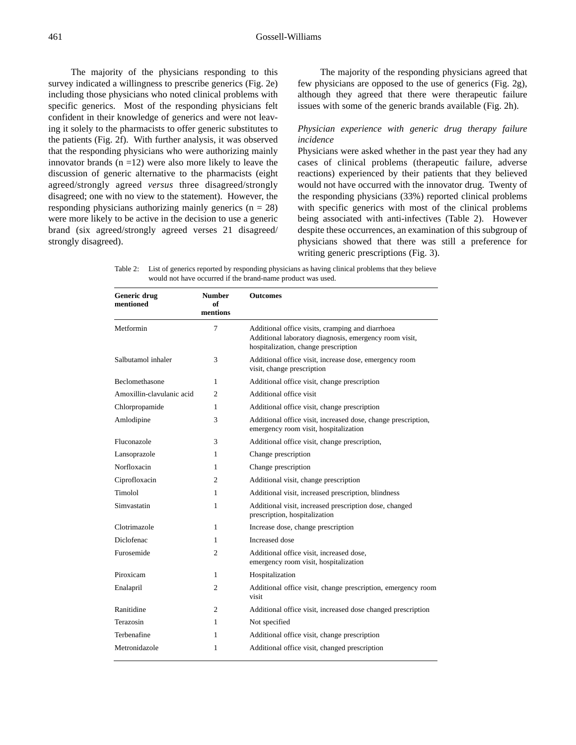The majority of the physicians responding to this survey indicated a willingness to prescribe generics (Fig. 2e) including those physicians who noted clinical problems with specific generics. Most of the responding physicians felt confident in their knowledge of generics and were not leaving it solely to the pharmacists to offer generic substitutes to the patients (Fig. 2f). With further analysis, it was observed that the responding physicians who were authorizing mainly innovator brands  $(n = 12)$  were also more likely to leave the discussion of generic alternative to the pharmacists (eight agreed/strongly agreed *versus* three disagreed/strongly disagreed; one with no view to the statement). However, the responding physicians authorizing mainly generics  $(n = 28)$ were more likely to be active in the decision to use a generic brand (six agreed/strongly agreed verses 21 disagreed/ strongly disagreed).

The majority of the responding physicians agreed that few physicians are opposed to the use of generics (Fig. 2g), although they agreed that there were therapeutic failure issues with some of the generic brands available (Fig. 2h).

# *Physician experience with generic drug therapy failure incidence*

Physicians were asked whether in the past year they had any cases of clinical problems (therapeutic failure, adverse reactions) experienced by their patients that they believed would not have occurred with the innovator drug. Twenty of the responding physicians (33%) reported clinical problems with specific generics with most of the clinical problems being associated with anti-infectives (Table 2). However despite these occurrences, an examination of this subgroup of physicians showed that there was still a preference for writing generic prescriptions (Fig. 3).

Table 2: List of generics reported by responding physicians as having clinical problems that they believe would not have occurred if the brand-name product was used.

| Generic drug<br>mentioned | <b>Number</b><br>of<br>mentions | <b>Outcomes</b>                                                                                                                                    |  |
|---------------------------|---------------------------------|----------------------------------------------------------------------------------------------------------------------------------------------------|--|
| Metformin                 | 7                               | Additional office visits, cramping and diarrhoea<br>Additional laboratory diagnosis, emergency room visit,<br>hospitalization, change prescription |  |
| Salbutamol inhaler        | 3                               | Additional office visit, increase dose, emergency room<br>visit, change prescription                                                               |  |
| <b>Beclomethasone</b>     | 1                               | Additional office visit, change prescription                                                                                                       |  |
| Amoxillin-clavulanic acid | 2                               | Additional office visit                                                                                                                            |  |
| Chlorpropamide            | 1                               | Additional office visit, change prescription                                                                                                       |  |
| Amlodipine                | 3                               | Additional office visit, increased dose, change prescription,<br>emergency room visit, hospitalization                                             |  |
| Fluconazole               | 3                               | Additional office visit, change prescription,                                                                                                      |  |
| Lansoprazole              | 1                               | Change prescription                                                                                                                                |  |
| Norfloxacin               | 1                               | Change prescription                                                                                                                                |  |
| Ciprofloxacin             | 2                               | Additional visit, change prescription                                                                                                              |  |
| Timolol                   | 1                               | Additional visit, increased prescription, blindness                                                                                                |  |
| Simvastatin               | 1                               | Additional visit, increased prescription dose, changed<br>prescription, hospitalization                                                            |  |
| Clotrimazole              | 1                               | Increase dose, change prescription                                                                                                                 |  |
| Diclofenac                | 1                               | Increased dose                                                                                                                                     |  |
| Furosemide                | $\overline{2}$                  | Additional office visit, increased dose,<br>emergency room visit, hospitalization                                                                  |  |
| Piroxicam                 | 1                               | Hospitalization                                                                                                                                    |  |
| Enalapril                 | 2                               | Additional office visit, change prescription, emergency room<br>visit                                                                              |  |
| Ranitidine                | 2                               | Additional office visit, increased dose changed prescription                                                                                       |  |
| Terazosin                 | 1                               | Not specified                                                                                                                                      |  |
| Terbenafine               | 1                               | Additional office visit, change prescription                                                                                                       |  |
| Metronidazole             | 1                               | Additional office visit, changed prescription                                                                                                      |  |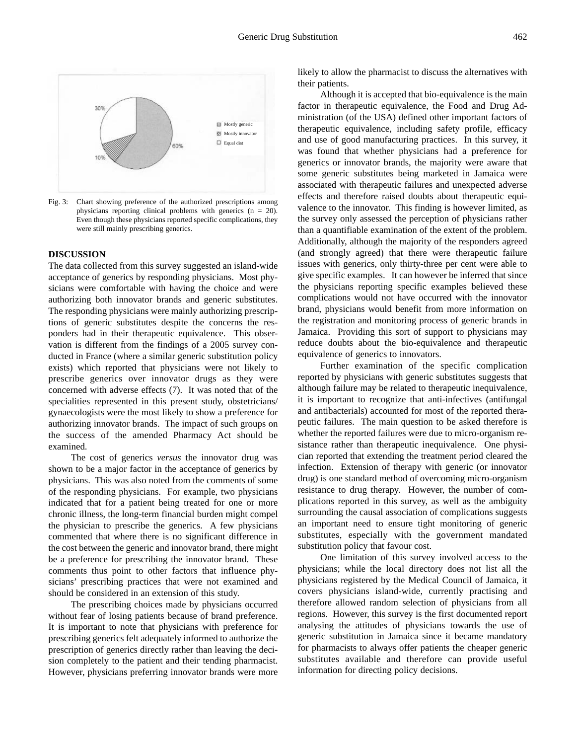

Fig. 3: Chart showing preference of the authorized prescriptions among physicians reporting clinical problems with generics (n = 20). Even though these physicians reported specific complications, they were still mainly prescribing generics.

### **DISCUSSION**

The data collected from this survey suggested an island-wide acceptance of generics by responding physicians. Most physicians were comfortable with having the choice and were authorizing both innovator brands and generic substitutes. The responding physicians were mainly authorizing prescriptions of generic substitutes despite the concerns the responders had in their therapeutic equivalence. This observation is different from the findings of a 2005 survey conducted in France (where a similar generic substitution policy exists) which reported that physicians were not likely to prescribe generics over innovator drugs as they were concerned with adverse effects (7). It was noted that of the specialities represented in this present study, obstetricians/ gynaecologists were the most likely to show a preference for authorizing innovator brands. The impact of such groups on the success of the amended Pharmacy Act should be examined.

The cost of generics *versus* the innovator drug was shown to be a major factor in the acceptance of generics by physicians. This was also noted from the comments of some of the responding physicians. For example, two physicians indicated that for a patient being treated for one or more chronic illness, the long-term financial burden might compel the physician to prescribe the generics. A few physicians commented that where there is no significant difference in the cost between the generic and innovator brand, there might be a preference for prescribing the innovator brand. These comments thus point to other factors that influence physicians' prescribing practices that were not examined and should be considered in an extension of this study.

The prescribing choices made by physicians occurred without fear of losing patients because of brand preference. It is important to note that physicians with preference for prescribing generics felt adequately informed to authorize the prescription of generics directly rather than leaving the decision completely to the patient and their tending pharmacist. However, physicians preferring innovator brands were more likely to allow the pharmacist to discuss the alternatives with their patients.

Although it is accepted that bio-equivalence is the main factor in therapeutic equivalence, the Food and Drug Administration (of the USA) defined other important factors of therapeutic equivalence, including safety profile, efficacy and use of good manufacturing practices. In this survey, it was found that whether physicians had a preference for generics or innovator brands, the majority were aware that some generic substitutes being marketed in Jamaica were associated with therapeutic failures and unexpected adverse effects and therefore raised doubts about therapeutic equivalence to the innovator. This finding is however limited, as the survey only assessed the perception of physicians rather than a quantifiable examination of the extent of the problem. Additionally, although the majority of the responders agreed (and strongly agreed) that there were therapeutic failure issues with generics, only thirty-three per cent were able to give specific examples. It can however be inferred that since the physicians reporting specific examples believed these complications would not have occurred with the innovator brand, physicians would benefit from more information on the registration and monitoring process of generic brands in Jamaica. Providing this sort of support to physicians may reduce doubts about the bio-equivalence and therapeutic equivalence of generics to innovators.

Further examination of the specific complication reported by physicians with generic substitutes suggests that although failure may be related to therapeutic inequivalence, it is important to recognize that anti-infectives (antifungal and antibacterials) accounted for most of the reported therapeutic failures. The main question to be asked therefore is whether the reported failures were due to micro-organism resistance rather than therapeutic inequivalence. One physician reported that extending the treatment period cleared the infection. Extension of therapy with generic (or innovator drug) is one standard method of overcoming micro-organism resistance to drug therapy. However, the number of complications reported in this survey, as well as the ambiguity surrounding the causal association of complications suggests an important need to ensure tight monitoring of generic substitutes, especially with the government mandated substitution policy that favour cost.

One limitation of this survey involved access to the physicians; while the local directory does not list all the physicians registered by the Medical Council of Jamaica, it covers physicians island-wide, currently practising and therefore allowed random selection of physicians from all regions. However, this survey is the first documented report analysing the attitudes of physicians towards the use of generic substitution in Jamaica since it became mandatory for pharmacists to always offer patients the cheaper generic substitutes available and therefore can provide useful information for directing policy decisions.